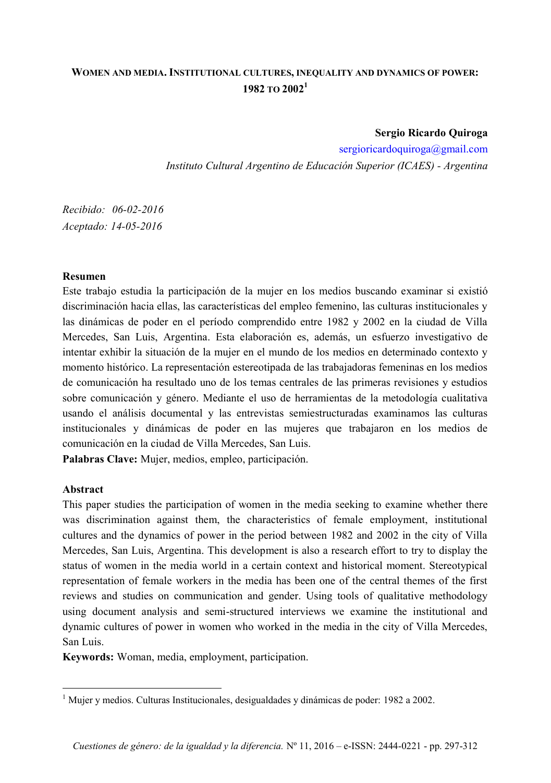# **WOMEN AND MEDIA. INSTITUTIONAL CULTURES, INEQUALITY AND DYNAMICS OF POWER: 1982 TO 2002<sup>1</sup>**

# **Sergio Ricardo Quiroga**

[sergioricardoquiroga@gmail.com](mailto:sergioricardoquiroga@gmail.com) *Instituto Cultural Argentino de Educación Superior (ICAES) - Argentina* 

*Recibido: 06-02-2016 Aceptado: 14-05-2016*

# **Resumen**

Este trabajo estudia la participación de la mujer en los medios buscando examinar si existió discriminación hacia ellas, las características del empleo femenino, las culturas institucionales y las dinámicas de poder en el período comprendido entre 1982 y 2002 en la ciudad de Villa Mercedes, San Luis, Argentina. Esta elaboración es, además, un esfuerzo investigativo de intentar exhibir la situación de la mujer en el mundo de los medios en determinado contexto y momento histórico. La representación estereotipada de las trabajadoras femeninas en los medios de comunicación ha resultado uno de los temas centrales de las primeras revisiones y estudios sobre comunicación y género. Mediante el uso de herramientas de la metodología cualitativa usando el análisis documental y las entrevistas semiestructuradas examinamos las culturas institucionales y dinámicas de poder en las mujeres que trabajaron en los medios de comunicación en la ciudad de Villa Mercedes, San Luis.

**Palabras Clave:** Mujer, medios, empleo, participación.

# **Abstract**

This paper studies the participation of women in the media seeking to examine whether there was discrimination against them, the characteristics of female employment, institutional cultures and the dynamics of power in the period between 1982 and 2002 in the city of Villa Mercedes, San Luis, Argentina. This development is also a research effort to try to display the status of women in the media world in a certain context and historical moment. Stereotypical representation of female workers in the media has been one of the central themes of the first reviews and studies on communication and gender. Using tools of qualitative methodology using document analysis and semi-structured interviews we examine the institutional and dynamic cultures of power in women who worked in the media in the city of Villa Mercedes, San Luis.

**Keywords:** Woman, media, employment, participation.

l <sup>1</sup> Mujer y medios. Culturas Institucionales, desigualdades y dinámicas de poder: 1982 a 2002.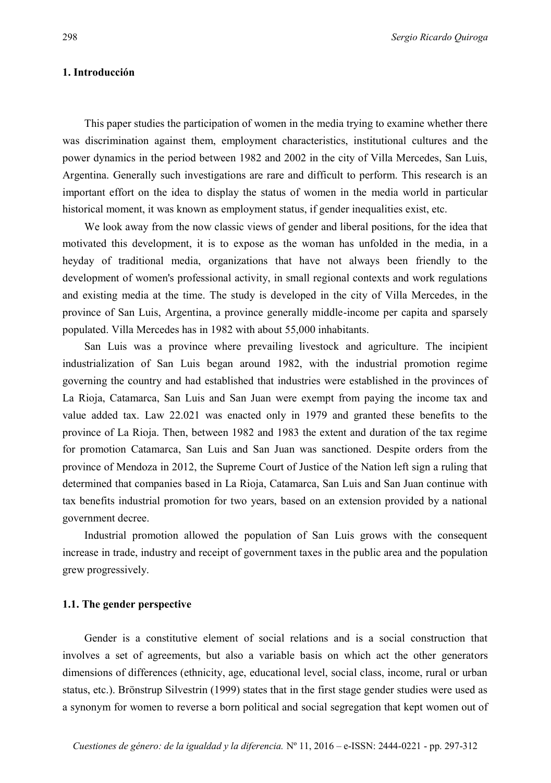# **1. Introducción**

This paper studies the participation of women in the media trying to examine whether there was discrimination against them, employment characteristics, institutional cultures and the power dynamics in the period between 1982 and 2002 in the city of Villa Mercedes, San Luis, Argentina. Generally such investigations are rare and difficult to perform. This research is an important effort on the idea to display the status of women in the media world in particular historical moment, it was known as employment status, if gender inequalities exist, etc.

We look away from the now classic views of gender and liberal positions, for the idea that motivated this development, it is to expose as the woman has unfolded in the media, in a heyday of traditional media, organizations that have not always been friendly to the development of women's professional activity, in small regional contexts and work regulations and existing media at the time. The study is developed in the city of Villa Mercedes, in the province of San Luis, Argentina, a province generally middle-income per capita and sparsely populated. Villa Mercedes has in 1982 with about 55,000 inhabitants.

San Luis was a province where prevailing livestock and agriculture. The incipient industrialization of San Luis began around 1982, with the industrial promotion regime governing the country and had established that industries were established in the provinces of La Rioja, Catamarca, San Luis and San Juan were exempt from paying the income tax and value added tax. Law 22.021 was enacted only in 1979 and granted these benefits to the province of La Rioja. Then, between 1982 and 1983 the extent and duration of the tax regime for promotion Catamarca, San Luis and San Juan was sanctioned. Despite orders from the province of Mendoza in 2012, the Supreme Court of Justice of the Nation left sign a ruling that determined that companies based in La Rioja, Catamarca, San Luis and San Juan continue with tax benefits industrial promotion for two years, based on an extension provided by a national government decree.

Industrial promotion allowed the population of San Luis grows with the consequent increase in trade, industry and receipt of government taxes in the public area and the population grew progressively.

#### **1.1. The gender perspective**

Gender is a constitutive element of social relations and is a social construction that involves a set of agreements, but also a variable basis on which act the other generators dimensions of differences (ethnicity, age, educational level, social class, income, rural or urban status, etc.). Brönstrup Silvestrin (1999) states that in the first stage gender studies were used as a synonym for women to reverse a born political and social segregation that kept women out of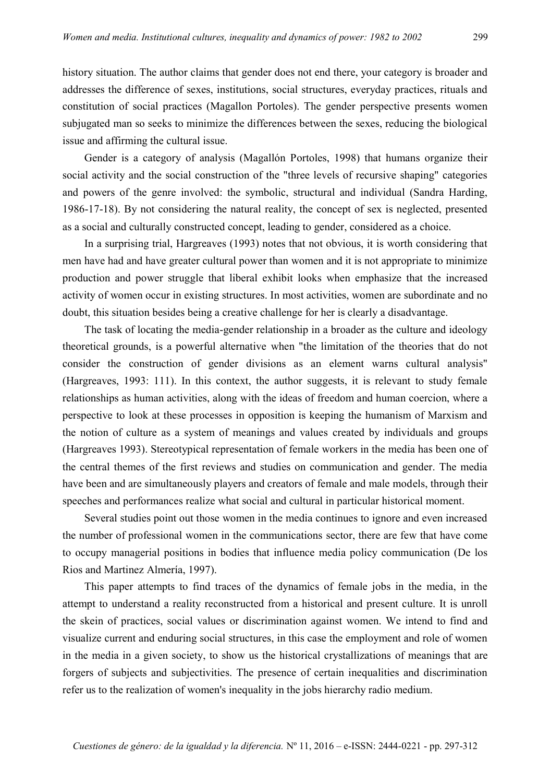history situation. The author claims that gender does not end there, your category is broader and addresses the difference of sexes, institutions, social structures, everyday practices, rituals and constitution of social practices (Magallon Portoles). The gender perspective presents women subjugated man so seeks to minimize the differences between the sexes, reducing the biological issue and affirming the cultural issue.

Gender is a category of analysis (Magallón Portoles, 1998) that humans organize their social activity and the social construction of the "three levels of recursive shaping" categories and powers of the genre involved: the symbolic, structural and individual (Sandra Harding, 1986-17-18). By not considering the natural reality, the concept of sex is neglected, presented as a social and culturally constructed concept, leading to gender, considered as a choice.

In a surprising trial, Hargreaves (1993) notes that not obvious, it is worth considering that men have had and have greater cultural power than women and it is not appropriate to minimize production and power struggle that liberal exhibit looks when emphasize that the increased activity of women occur in existing structures. In most activities, women are subordinate and no doubt, this situation besides being a creative challenge for her is clearly a disadvantage.

The task of locating the media-gender relationship in a broader as the culture and ideology theoretical grounds, is a powerful alternative when "the limitation of the theories that do not consider the construction of gender divisions as an element warns cultural analysis" (Hargreaves, 1993: 111). In this context, the author suggests, it is relevant to study female relationships as human activities, along with the ideas of freedom and human coercion, where a perspective to look at these processes in opposition is keeping the humanism of Marxism and the notion of culture as a system of meanings and values created by individuals and groups (Hargreaves 1993). Stereotypical representation of female workers in the media has been one of the central themes of the first reviews and studies on communication and gender. The media have been and are simultaneously players and creators of female and male models, through their speeches and performances realize what social and cultural in particular historical moment.

Several studies point out those women in the media continues to ignore and even increased the number of professional women in the communications sector, there are few that have come to occupy managerial positions in bodies that influence media policy communication (De los Rios and Martinez Almería, 1997).

This paper attempts to find traces of the dynamics of female jobs in the media, in the attempt to understand a reality reconstructed from a historical and present culture. It is unroll the skein of practices, social values or discrimination against women. We intend to find and visualize current and enduring social structures, in this case the employment and role of women in the media in a given society, to show us the historical crystallizations of meanings that are forgers of subjects and subjectivities. The presence of certain inequalities and discrimination refer us to the realization of women's inequality in the jobs hierarchy radio medium.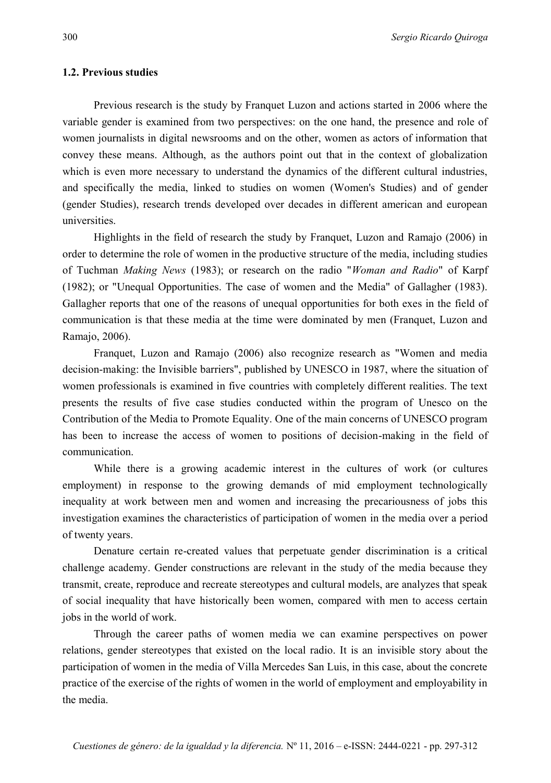### **1.2. Previous studies**

Previous research is the study by Franquet Luzon and actions started in 2006 where the variable gender is examined from two perspectives: on the one hand, the presence and role of women journalists in digital newsrooms and on the other, women as actors of information that convey these means. Although, as the authors point out that in the context of globalization which is even more necessary to understand the dynamics of the different cultural industries, and specifically the media, linked to studies on women (Women's Studies) and of gender (gender Studies), research trends developed over decades in different american and european universities.

Highlights in the field of research the study by Franquet, Luzon and Ramajo (2006) in order to determine the role of women in the productive structure of the media, including studies of Tuchman *Making News* (1983); or research on the radio "*Woman and Radio*" of Karpf (1982); or "Unequal Opportunities. The case of women and the Media" of Gallagher (1983). Gallagher reports that one of the reasons of unequal opportunities for both exes in the field of communication is that these media at the time were dominated by men (Franquet, Luzon and Ramajo, 2006).

Franquet, Luzon and Ramajo (2006) also recognize research as "Women and media decision-making: the Invisible barriers", published by UNESCO in 1987, where the situation of women professionals is examined in five countries with completely different realities. The text presents the results of five case studies conducted within the program of Unesco on the Contribution of the Media to Promote Equality. One of the main concerns of UNESCO program has been to increase the access of women to positions of decision-making in the field of communication.

While there is a growing academic interest in the cultures of work (or cultures employment) in response to the growing demands of mid employment technologically inequality at work between men and women and increasing the precariousness of jobs this investigation examines the characteristics of participation of women in the media over a period of twenty years.

Denature certain re-created values that perpetuate gender discrimination is a critical challenge academy. Gender constructions are relevant in the study of the media because they transmit, create, reproduce and recreate stereotypes and cultural models, are analyzes that speak of social inequality that have historically been women, compared with men to access certain jobs in the world of work.

Through the career paths of women media we can examine perspectives on power relations, gender stereotypes that existed on the local radio. It is an invisible story about the participation of women in the media of Villa Mercedes San Luis, in this case, about the concrete practice of the exercise of the rights of women in the world of employment and employability in the media.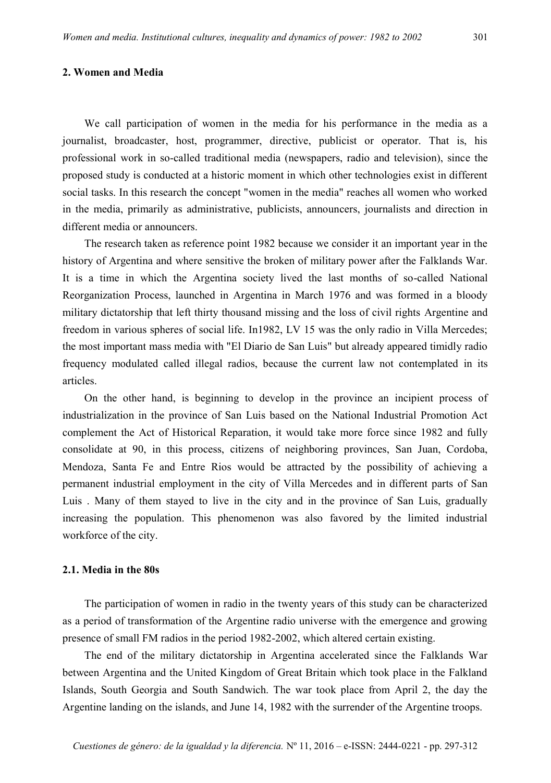We call participation of women in the media for his performance in the media as a journalist, broadcaster, host, programmer, directive, publicist or operator. That is, his professional work in so-called traditional media (newspapers, radio and television), since the proposed study is conducted at a historic moment in which other technologies exist in different social tasks. In this research the concept "women in the media" reaches all women who worked in the media, primarily as administrative, publicists, announcers, journalists and direction in different media or announcers.

The research taken as reference point 1982 because we consider it an important year in the history of Argentina and where sensitive the broken of military power after the Falklands War. It is a time in which the Argentina society lived the last months of so-called National Reorganization Process, launched in Argentina in March 1976 and was formed in a bloody military dictatorship that left thirty thousand missing and the loss of civil rights Argentine and freedom in various spheres of social life. In1982, LV 15 was the only radio in Villa Mercedes; the most important mass media with "El Diario de San Luis" but already appeared timidly radio frequency modulated called illegal radios, because the current law not contemplated in its articles.

On the other hand, is beginning to develop in the province an incipient process of industrialization in the province of San Luis based on the National Industrial Promotion Act complement the Act of Historical Reparation, it would take more force since 1982 and fully consolidate at 90, in this process, citizens of neighboring provinces, San Juan, Cordoba, Mendoza, Santa Fe and Entre Rios would be attracted by the possibility of achieving a permanent industrial employment in the city of Villa Mercedes and in different parts of San Luis . Many of them stayed to live in the city and in the province of San Luis, gradually increasing the population. This phenomenon was also favored by the limited industrial workforce of the city.

# **2.1. Media in the 80s**

The participation of women in radio in the twenty years of this study can be characterized as a period of transformation of the Argentine radio universe with the emergence and growing presence of small FM radios in the period 1982-2002, which altered certain existing.

The end of the military dictatorship in Argentina accelerated since the Falklands War between Argentina and the United Kingdom of Great Britain which took place in the Falkland Islands, South Georgia and South Sandwich. The war took place from April 2, the day the Argentine landing on the islands, and June 14, 1982 with the surrender of the Argentine troops.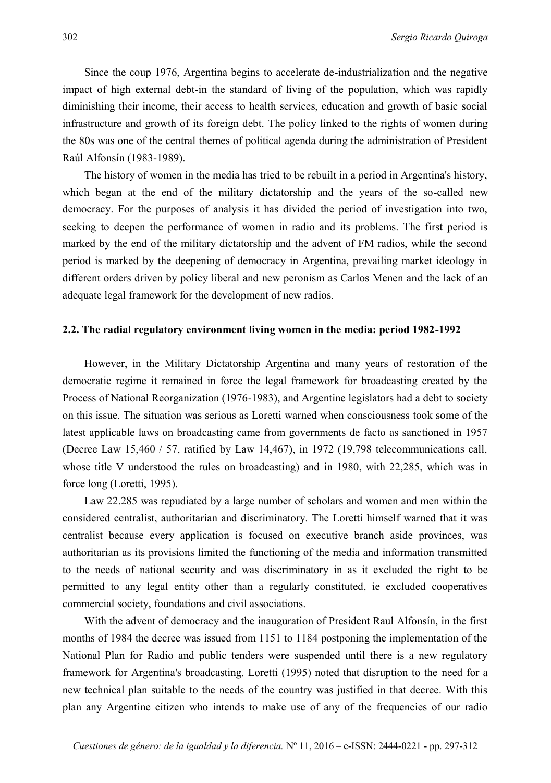Since the coup 1976, Argentina begins to accelerate de-industrialization and the negative impact of high external debt-in the standard of living of the population, which was rapidly diminishing their income, their access to health services, education and growth of basic social infrastructure and growth of its foreign debt. The policy linked to the rights of women during the 80s was one of the central themes of political agenda during the administration of President Raúl Alfonsín (1983-1989).

The history of women in the media has tried to be rebuilt in a period in Argentina's history, which began at the end of the military dictatorship and the years of the so-called new democracy. For the purposes of analysis it has divided the period of investigation into two, seeking to deepen the performance of women in radio and its problems. The first period is marked by the end of the military dictatorship and the advent of FM radios, while the second period is marked by the deepening of democracy in Argentina, prevailing market ideology in different orders driven by policy liberal and new peronism as Carlos Menen and the lack of an adequate legal framework for the development of new radios.

#### **2.2. The radial regulatory environment living women in the media: period 1982-1992**

However, in the Military Dictatorship Argentina and many years of restoration of the democratic regime it remained in force the legal framework for broadcasting created by the Process of National Reorganization (1976-1983), and Argentine legislators had a debt to society on this issue. The situation was serious as Loretti warned when consciousness took some of the latest applicable laws on broadcasting came from governments de facto as sanctioned in 1957 (Decree Law 15,460 / 57, ratified by Law 14,467), in 1972 (19,798 telecommunications call, whose title V understood the rules on broadcasting) and in 1980, with 22,285, which was in force long (Loretti, 1995).

Law 22.285 was repudiated by a large number of scholars and women and men within the considered centralist, authoritarian and discriminatory. The Loretti himself warned that it was centralist because every application is focused on executive branch aside provinces, was authoritarian as its provisions limited the functioning of the media and information transmitted to the needs of national security and was discriminatory in as it excluded the right to be permitted to any legal entity other than a regularly constituted, ie excluded cooperatives commercial society, foundations and civil associations.

With the advent of democracy and the inauguration of President Raul Alfonsín, in the first months of 1984 the decree was issued from 1151 to 1184 postponing the implementation of the National Plan for Radio and public tenders were suspended until there is a new regulatory framework for Argentina's broadcasting. Loretti (1995) noted that disruption to the need for a new technical plan suitable to the needs of the country was justified in that decree. With this plan any Argentine citizen who intends to make use of any of the frequencies of our radio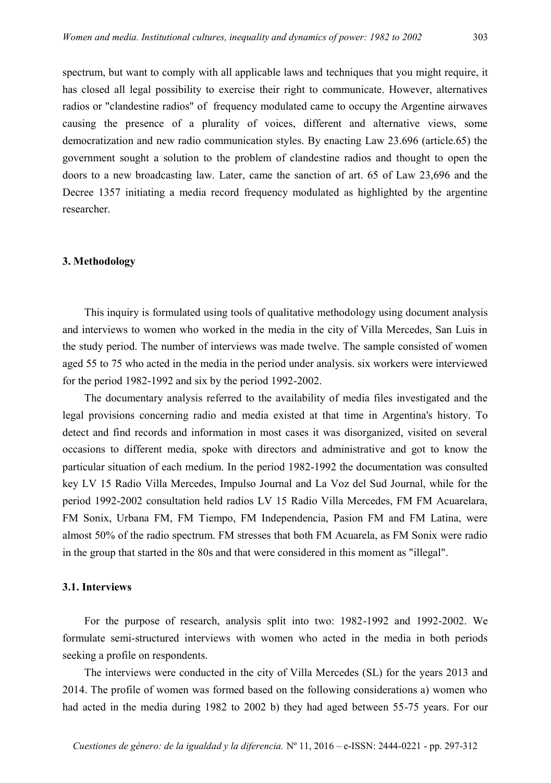spectrum, but want to comply with all applicable laws and techniques that you might require, it has closed all legal possibility to exercise their right to communicate. However, alternatives radios or "clandestine radios" of frequency modulated came to occupy the Argentine airwaves causing the presence of a plurality of voices, different and alternative views, some democratization and new radio communication styles. By enacting Law 23.696 (article.65) the government sought a solution to the problem of clandestine radios and thought to open the doors to a new broadcasting law. Later, came the sanction of art. 65 of Law 23,696 and the Decree 1357 initiating a media record frequency modulated as highlighted by the argentine researcher.

#### **3. Methodology**

This inquiry is formulated using tools of qualitative methodology using document analysis and interviews to women who worked in the media in the city of Villa Mercedes, San Luis in the study period. The number of interviews was made twelve. The sample consisted of women aged 55 to 75 who acted in the media in the period under analysis. six workers were interviewed for the period 1982-1992 and six by the period 1992-2002.

The documentary analysis referred to the availability of media files investigated and the legal provisions concerning radio and media existed at that time in Argentina's history. To detect and find records and information in most cases it was disorganized, visited on several occasions to different media, spoke with directors and administrative and got to know the particular situation of each medium. In the period 1982-1992 the documentation was consulted key LV 15 Radio Villa Mercedes, Impulso Journal and La Voz del Sud Journal, while for the period 1992-2002 consultation held radios LV 15 Radio Villa Mercedes, FM FM Acuarelara, FM Sonix, Urbana FM, FM Tiempo, FM Independencia, Pasion FM and FM Latina, were almost 50% of the radio spectrum. FM stresses that both FM Acuarela, as FM Sonix were radio in the group that started in the 80s and that were considered in this moment as "illegal".

#### **3.1. Interviews**

For the purpose of research, analysis split into two: 1982-1992 and 1992-2002. We formulate semi-structured interviews with women who acted in the media in both periods seeking a profile on respondents.

The interviews were conducted in the city of Villa Mercedes (SL) for the years 2013 and 2014. The profile of women was formed based on the following considerations a) women who had acted in the media during 1982 to 2002 b) they had aged between 55-75 years. For our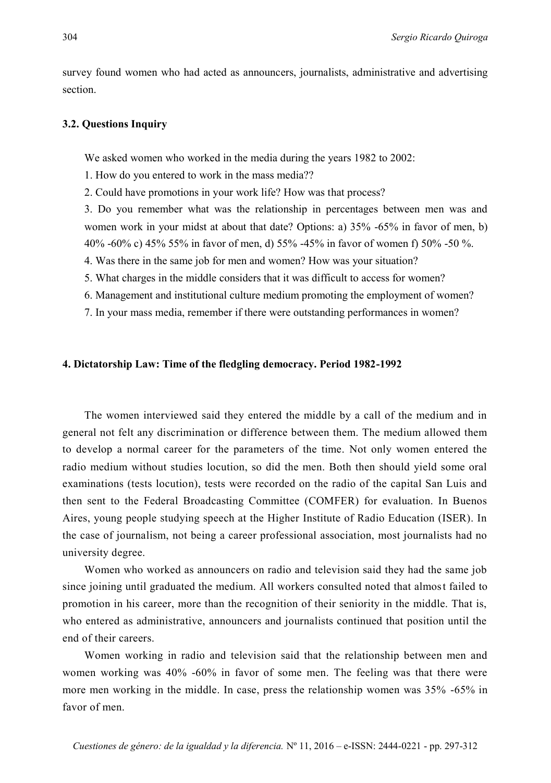survey found women who had acted as announcers, journalists, administrative and advertising section.

## **3.2. Questions Inquiry**

We asked women who worked in the media during the years 1982 to 2002:

- 1. How do you entered to work in the mass media??
- 2. Could have promotions in your work life? How was that process?
- 3. Do you remember what was the relationship in percentages between men was and women work in your midst at about that date? Options: a) 35% -65% in favor of men, b) 40% -60% c) 45% 55% in favor of men, d) 55% -45% in favor of women f) 50% -50 %.
- 4. Was there in the same job for men and women? How was your situation?
- 5. What charges in the middle considers that it was difficult to access for women?
- 6. Management and institutional culture medium promoting the employment of women?
- 7. In your mass media, remember if there were outstanding performances in women?

#### **4. Dictatorship Law: Time of the fledgling democracy. Period 1982-1992**

The women interviewed said they entered the middle by a call of the medium and in general not felt any discrimination or difference between them. The medium allowed them to develop a normal career for the parameters of the time. Not only women entered the radio medium without studies locution, so did the men. Both then should yield some oral examinations (tests locution), tests were recorded on the radio of the capital San Luis and then sent to the Federal Broadcasting Committee (COMFER) for evaluation. In Buenos Aires, young people studying speech at the Higher Institute of Radio Education (ISER). In the case of journalism, not being a career professional association, most journalists had no university degree.

Women who worked as announcers on radio and television said they had the same job since joining until graduated the medium. All workers consulted noted that almost failed to promotion in his career, more than the recognition of their seniority in the middle. That is, who entered as administrative, announcers and journalists continued that position until the end of their careers.

Women working in radio and television said that the relationship between men and women working was 40% -60% in favor of some men. The feeling was that there were more men working in the middle. In case, press the relationship women was 35% -65% in favor of men.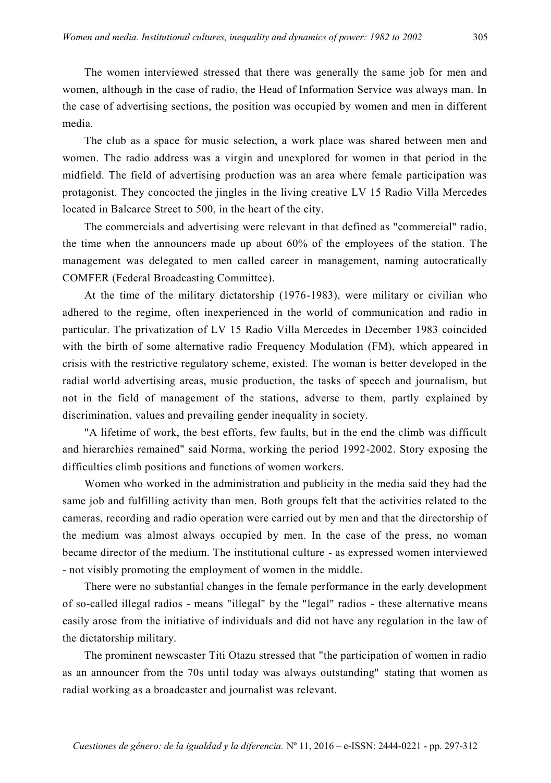The women interviewed stressed that there was generally the same job for men and women, although in the case of radio, the Head of Information Service was always man. In the case of advertising sections, the position was occupied by women and men in different media.

The club as a space for music selection, a work place was shared between men and women. The radio address was a virgin and unexplored for women in that period in the midfield. The field of advertising production was an area where female participation was protagonist. They concocted the jingles in the living creative LV 15 Radio Villa Mercedes located in Balcarce Street to 500, in the heart of the city.

The commercials and advertising were relevant in that defined as "commercial" radio, the time when the announcers made up about 60% of the employees of the station. The management was delegated to men called career in management, naming autocratically COMFER (Federal Broadcasting Committee).

At the time of the military dictatorship (1976-1983), were military or civilian who adhered to the regime, often inexperienced in the world of communication and radio in particular. The privatization of LV 15 Radio Villa Mercedes in December 1983 coincided with the birth of some alternative radio Frequency Modulation (FM), which appeared in crisis with the restrictive regulatory scheme, existed. The woman is better developed in the radial world advertising areas, music production, the tasks of speech and journalism, but not in the field of management of the stations, adverse to them, partly explained by discrimination, values and prevailing gender inequality in society.

"A lifetime of work, the best efforts, few faults, but in the end the climb was difficult and hierarchies remained" said Norma, working the period 1992-2002. Story exposing the difficulties climb positions and functions of women workers.

Women who worked in the administration and publicity in the media said they had the same job and fulfilling activity than men. Both groups felt that the activities related to the cameras, recording and radio operation were carried out by men and that the directorship of the medium was almost always occupied by men. In the case of the press, no woman became director of the medium. The institutional culture - as expressed women interviewed - not visibly promoting the employment of women in the middle.

There were no substantial changes in the female performance in the early development of so-called illegal radios - means "illegal" by the "legal" radios - these alternative means easily arose from the initiative of individuals and did not have any regulation in the law of the dictatorship military.

The prominent newscaster Titi Otazu stressed that "the participation of women in radio as an announcer from the 70s until today was always outstanding" stating that women as radial working as a broadcaster and journalist was relevant.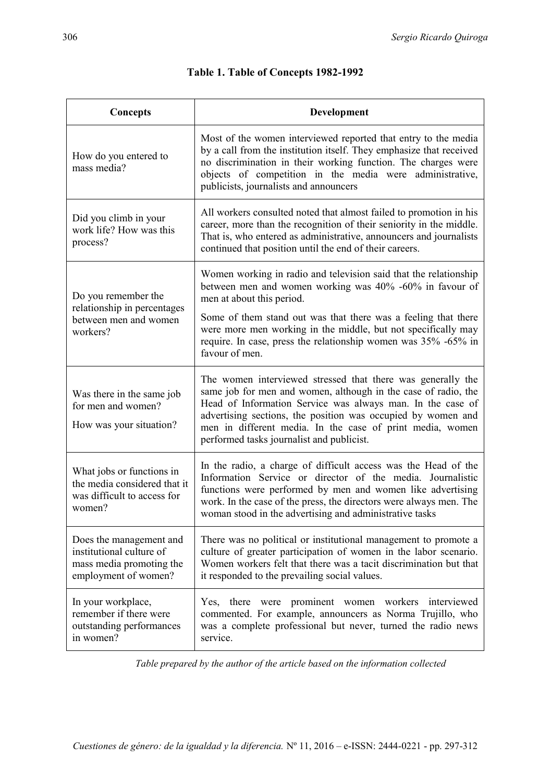| Concepts                                                                                                | Development                                                                                                                                                                                                                                                                                                                                                           |
|---------------------------------------------------------------------------------------------------------|-----------------------------------------------------------------------------------------------------------------------------------------------------------------------------------------------------------------------------------------------------------------------------------------------------------------------------------------------------------------------|
| How do you entered to<br>mass media?                                                                    | Most of the women interviewed reported that entry to the media<br>by a call from the institution itself. They emphasize that received<br>no discrimination in their working function. The charges were<br>objects of competition in the media were administrative,<br>publicists, journalists and announcers                                                          |
| Did you climb in your<br>work life? How was this<br>process?                                            | All workers consulted noted that almost failed to promotion in his<br>career, more than the recognition of their seniority in the middle.<br>That is, who entered as administrative, announcers and journalists<br>continued that position until the end of their careers.                                                                                            |
| Do you remember the<br>relationship in percentages<br>between men and women<br>workers?                 | Women working in radio and television said that the relationship<br>between men and women working was 40% -60% in favour of<br>men at about this period.                                                                                                                                                                                                              |
|                                                                                                         | Some of them stand out was that there was a feeling that there<br>were more men working in the middle, but not specifically may<br>require. In case, press the relationship women was 35% -65% in<br>favour of men.                                                                                                                                                   |
| Was there in the same job<br>for men and women?<br>How was your situation?                              | The women interviewed stressed that there was generally the<br>same job for men and women, although in the case of radio, the<br>Head of Information Service was always man. In the case of<br>advertising sections, the position was occupied by women and<br>men in different media. In the case of print media, women<br>performed tasks journalist and publicist. |
| What jobs or functions in<br>the media considered that it<br>was difficult to access for<br>women?      | In the radio, a charge of difficult access was the Head of the<br>Information Service or director of the media. Journalistic<br>functions were performed by men and women like advertising<br>work. In the case of the press, the directors were always men. The<br>woman stood in the advertising and administrative tasks                                           |
| Does the management and<br>institutional culture of<br>mass media promoting the<br>employment of women? | There was no political or institutional management to promote a<br>culture of greater participation of women in the labor scenario.<br>Women workers felt that there was a tacit discrimination but that<br>it responded to the prevailing social values.                                                                                                             |
| In your workplace,<br>remember if there were<br>outstanding performances<br>in women?                   | Yes, there<br>were prominent women workers interviewed<br>commented. For example, announcers as Norma Trujillo, who<br>was a complete professional but never, turned the radio news<br>service.                                                                                                                                                                       |

# **Table 1. Table of Concepts 1982-1992**

*Table prepared by the author of the article based on the information collected*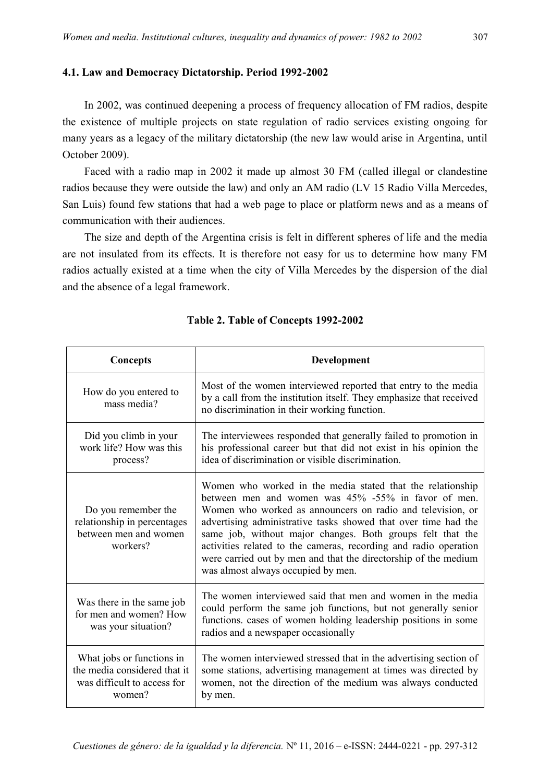### **4.1. Law and Democracy Dictatorship. Period 1992-2002**

In 2002, was continued deepening a process of frequency allocation of FM radios, despite the existence of multiple projects on state regulation of radio services existing ongoing for many years as a legacy of the military dictatorship (the new law would arise in Argentina, until October 2009).

Faced with a radio map in 2002 it made up almost 30 FM (called illegal or clandestine radios because they were outside the law) and only an AM radio (LV 15 Radio Villa Mercedes, San Luis) found few stations that had a web page to place or platform news and as a means of communication with their audiences.

The size and depth of the Argentina crisis is felt in different spheres of life and the media are not insulated from its effects. It is therefore not easy for us to determine how many FM radios actually existed at a time when the city of Villa Mercedes by the dispersion of the dial and the absence of a legal framework.

| Concepts                                                                                           | Development                                                                                                                                                                                                                                                                                                                                                                                                                                                                                  |
|----------------------------------------------------------------------------------------------------|----------------------------------------------------------------------------------------------------------------------------------------------------------------------------------------------------------------------------------------------------------------------------------------------------------------------------------------------------------------------------------------------------------------------------------------------------------------------------------------------|
| How do you entered to<br>mass media?                                                               | Most of the women interviewed reported that entry to the media<br>by a call from the institution itself. They emphasize that received<br>no discrimination in their working function.                                                                                                                                                                                                                                                                                                        |
| Did you climb in your<br>work life? How was this<br>process?                                       | The interviewees responded that generally failed to promotion in<br>his professional career but that did not exist in his opinion the<br>idea of discrimination or visible discrimination.                                                                                                                                                                                                                                                                                                   |
| Do you remember the<br>relationship in percentages<br>between men and women<br>workers?            | Women who worked in the media stated that the relationship<br>between men and women was 45% -55% in favor of men.<br>Women who worked as announcers on radio and television, or<br>advertising administrative tasks showed that over time had the<br>same job, without major changes. Both groups felt that the<br>activities related to the cameras, recording and radio operation<br>were carried out by men and that the directorship of the medium<br>was almost always occupied by men. |
| Was there in the same job<br>for men and women? How<br>was your situation?                         | The women interviewed said that men and women in the media<br>could perform the same job functions, but not generally senior<br>functions. cases of women holding leadership positions in some<br>radios and a newspaper occasionally                                                                                                                                                                                                                                                        |
| What jobs or functions in<br>the media considered that it<br>was difficult to access for<br>women? | The women interviewed stressed that in the advertising section of<br>some stations, advertising management at times was directed by<br>women, not the direction of the medium was always conducted<br>by men.                                                                                                                                                                                                                                                                                |

## **Table 2. Table of Concepts 1992-2002**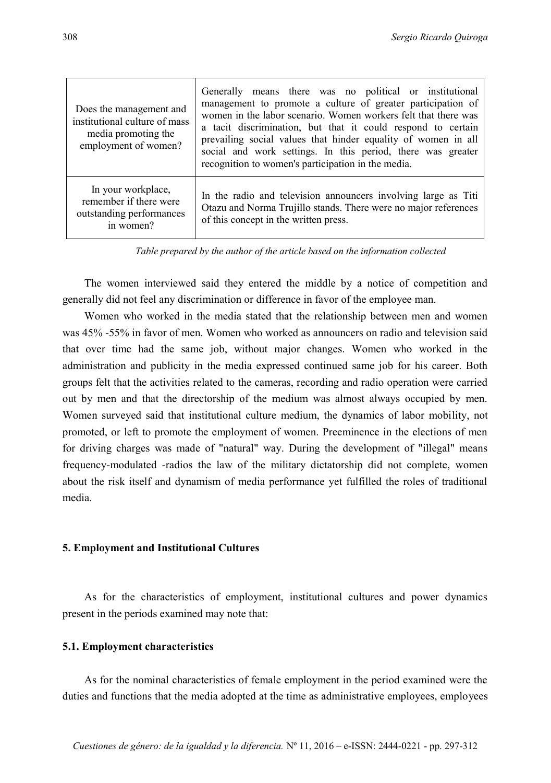| Does the management and<br>institutional culture of mass<br>media promoting the<br>employment of women? | Generally means there was no political or institutional<br>management to promote a culture of greater participation of<br>women in the labor scenario. Women workers felt that there was<br>a tacit discrimination, but that it could respond to certain<br>prevailing social values that hinder equality of women in all<br>social and work settings. In this period, there was greater<br>recognition to women's participation in the media. |
|---------------------------------------------------------------------------------------------------------|------------------------------------------------------------------------------------------------------------------------------------------------------------------------------------------------------------------------------------------------------------------------------------------------------------------------------------------------------------------------------------------------------------------------------------------------|
| In your workplace,<br>remember if there were<br>outstanding performances<br>in women?                   | In the radio and television announcers involving large as Titi<br>Otazu and Norma Trujillo stands. There were no major references<br>of this concept in the written press.                                                                                                                                                                                                                                                                     |

*Table prepared by the author of the article based on the information collected*

The women interviewed said they entered the middle by a notice of competition and generally did not feel any discrimination or difference in favor of the employee man.

Women who worked in the media stated that the relationship between men and women was 45% -55% in favor of men. Women who worked as announcers on radio and television said that over time had the same job, without major changes. Women who worked in the administration and publicity in the media expressed continued same job for his career. Both groups felt that the activities related to the cameras, recording and radio operation were carried out by men and that the directorship of the medium was almost always occupied by men. Women surveyed said that institutional culture medium, the dynamics of labor mobility, not promoted, or left to promote the employment of women. Preeminence in the elections of men for driving charges was made of "natural" way. During the development of "illegal" means frequency-modulated -radios the law of the military dictatorship did not complete, women about the risk itself and dynamism of media performance yet fulfilled the roles of traditional media.

#### **5. Employment and Institutional Cultures**

As for the characteristics of employment, institutional cultures and power dynamics present in the periods examined may note that:

# **5.1. Employment characteristics**

As for the nominal characteristics of female employment in the period examined were the duties and functions that the media adopted at the time as administrative employees, employees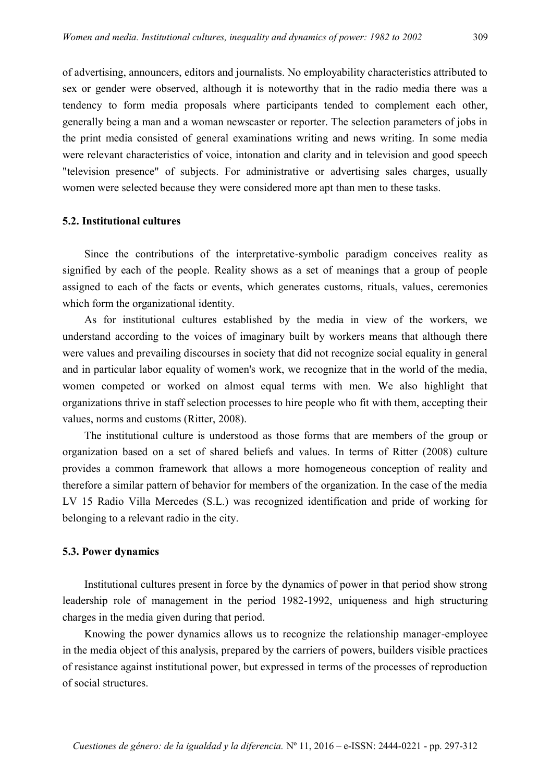of advertising, announcers, editors and journalists. No employability characteristics attributed to sex or gender were observed, although it is noteworthy that in the radio media there was a tendency to form media proposals where participants tended to complement each other, generally being a man and a woman newscaster or reporter. The selection parameters of jobs in the print media consisted of general examinations writing and news writing. In some media were relevant characteristics of voice, intonation and clarity and in television and good speech "television presence" of subjects. For administrative or advertising sales charges, usually women were selected because they were considered more apt than men to these tasks.

## **5.2. Institutional cultures**

Since the contributions of the interpretative-symbolic paradigm conceives reality as signified by each of the people. Reality shows as a set of meanings that a group of people assigned to each of the facts or events, which generates customs, rituals, values, ceremonies which form the organizational identity.

As for institutional cultures established by the media in view of the workers, we understand according to the voices of imaginary built by workers means that although there were values and prevailing discourses in society that did not recognize social equality in general and in particular labor equality of women's work, we recognize that in the world of the media, women competed or worked on almost equal terms with men. We also highlight that organizations thrive in staff selection processes to hire people who fit with them, accepting their values, norms and customs (Ritter, 2008).

The institutional culture is understood as those forms that are members of the group or organization based on a set of shared beliefs and values. In terms of Ritter (2008) culture provides a common framework that allows a more homogeneous conception of reality and therefore a similar pattern of behavior for members of the organization. In the case of the media LV 15 Radio Villa Mercedes (S.L.) was recognized identification and pride of working for belonging to a relevant radio in the city.

### **5.3. Power dynamics**

Institutional cultures present in force by the dynamics of power in that period show strong leadership role of management in the period 1982-1992, uniqueness and high structuring charges in the media given during that period.

Knowing the power dynamics allows us to recognize the relationship manager-employee in the media object of this analysis, prepared by the carriers of powers, builders visible practices of resistance against institutional power, but expressed in terms of the processes of reproduction of social structures.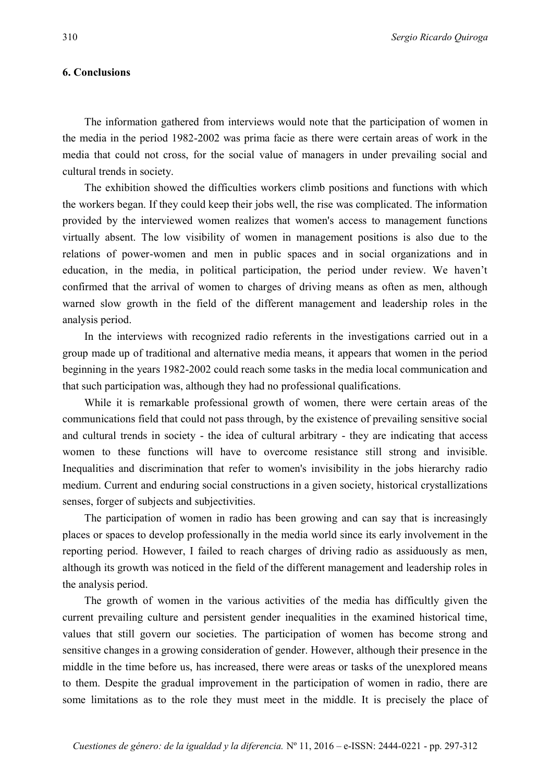# **6. Conclusions**

The information gathered from interviews would note that the participation of women in the media in the period 1982-2002 was prima facie as there were certain areas of work in the media that could not cross, for the social value of managers in under prevailing social and cultural trends in society.

The exhibition showed the difficulties workers climb positions and functions with which the workers began. If they could keep their jobs well, the rise was complicated. The information provided by the interviewed women realizes that women's access to management functions virtually absent. The low visibility of women in management positions is also due to the relations of power-women and men in public spaces and in social organizations and in education, in the media, in political participation, the period under review. We haven't confirmed that the arrival of women to charges of driving means as often as men, although warned slow growth in the field of the different management and leadership roles in the analysis period.

In the interviews with recognized radio referents in the investigations carried out in a group made up of traditional and alternative media means, it appears that women in the period beginning in the years 1982-2002 could reach some tasks in the media local communication and that such participation was, although they had no professional qualifications.

While it is remarkable professional growth of women, there were certain areas of the communications field that could not pass through, by the existence of prevailing sensitive social and cultural trends in society - the idea of cultural arbitrary - they are indicating that access women to these functions will have to overcome resistance still strong and invisible. Inequalities and discrimination that refer to women's invisibility in the jobs hierarchy radio medium. Current and enduring social constructions in a given society, historical crystallizations senses, forger of subjects and subjectivities.

The participation of women in radio has been growing and can say that is increasingly places or spaces to develop professionally in the media world since its early involvement in the reporting period. However, I failed to reach charges of driving radio as assiduously as men, although its growth was noticed in the field of the different management and leadership roles in the analysis period.

The growth of women in the various activities of the media has difficultly given the current prevailing culture and persistent gender inequalities in the examined historical time, values that still govern our societies. The participation of women has become strong and sensitive changes in a growing consideration of gender. However, although their presence in the middle in the time before us, has increased, there were areas or tasks of the unexplored means to them. Despite the gradual improvement in the participation of women in radio, there are some limitations as to the role they must meet in the middle. It is precisely the place of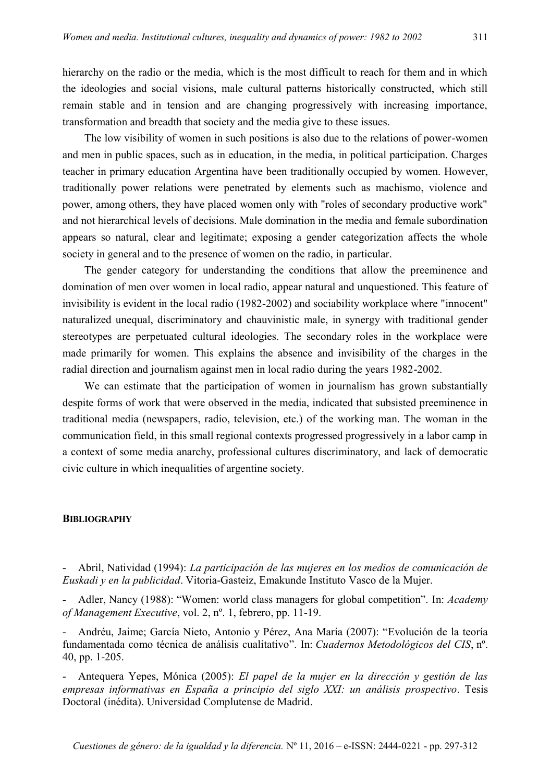hierarchy on the radio or the media, which is the most difficult to reach for them and in which the ideologies and social visions, male cultural patterns historically constructed, which still remain stable and in tension and are changing progressively with increasing importance, transformation and breadth that society and the media give to these issues.

The low visibility of women in such positions is also due to the relations of power-women and men in public spaces, such as in education, in the media, in political participation. Charges teacher in primary education Argentina have been traditionally occupied by women. However, traditionally power relations were penetrated by elements such as machismo, violence and power, among others, they have placed women only with "roles of secondary productive work" and not hierarchical levels of decisions. Male domination in the media and female subordination appears so natural, clear and legitimate; exposing a gender categorization affects the whole society in general and to the presence of women on the radio, in particular.

The gender category for understanding the conditions that allow the preeminence and domination of men over women in local radio, appear natural and unquestioned. This feature of invisibility is evident in the local radio (1982-2002) and sociability workplace where "innocent" naturalized unequal, discriminatory and chauvinistic male, in synergy with traditional gender stereotypes are perpetuated cultural ideologies. The secondary roles in the workplace were made primarily for women. This explains the absence and invisibility of the charges in the radial direction and journalism against men in local radio during the years 1982-2002.

We can estimate that the participation of women in journalism has grown substantially despite forms of work that were observed in the media, indicated that subsisted preeminence in traditional media (newspapers, radio, television, etc.) of the working man. The woman in the communication field, in this small regional contexts progressed progressively in a labor camp in a context of some media anarchy, professional cultures discriminatory, and lack of democratic civic culture in which inequalities of argentine society.

#### **BIBLIOGRAPHY**

- Abril, Natividad (1994): *La participación de las mujeres en los medios de comunicación de Euskadi y en la publicidad*. Vitoria-Gasteiz, Emakunde Instituto Vasco de la Mujer.

- Adler, Nancy (1988): "Women: world class managers for global competition". In: *Academy of Management Executive*, vol. 2, nº. 1, febrero, pp. 11-19.

- Andréu, Jaime; García Nieto, Antonio y Pérez, Ana María (2007): "Evolución de la teoría fundamentada como técnica de análisis cualitativo". In: *Cuadernos Metodológicos del CIS*, nº. 40, pp. 1-205.

- Antequera Yepes, Mónica (2005): *El papel de la mujer en la dirección y gestión de las empresas informativas en España a principio del siglo XXI: un análisis prospectivo*. Tesis Doctoral (inédita). Universidad Complutense de Madrid.